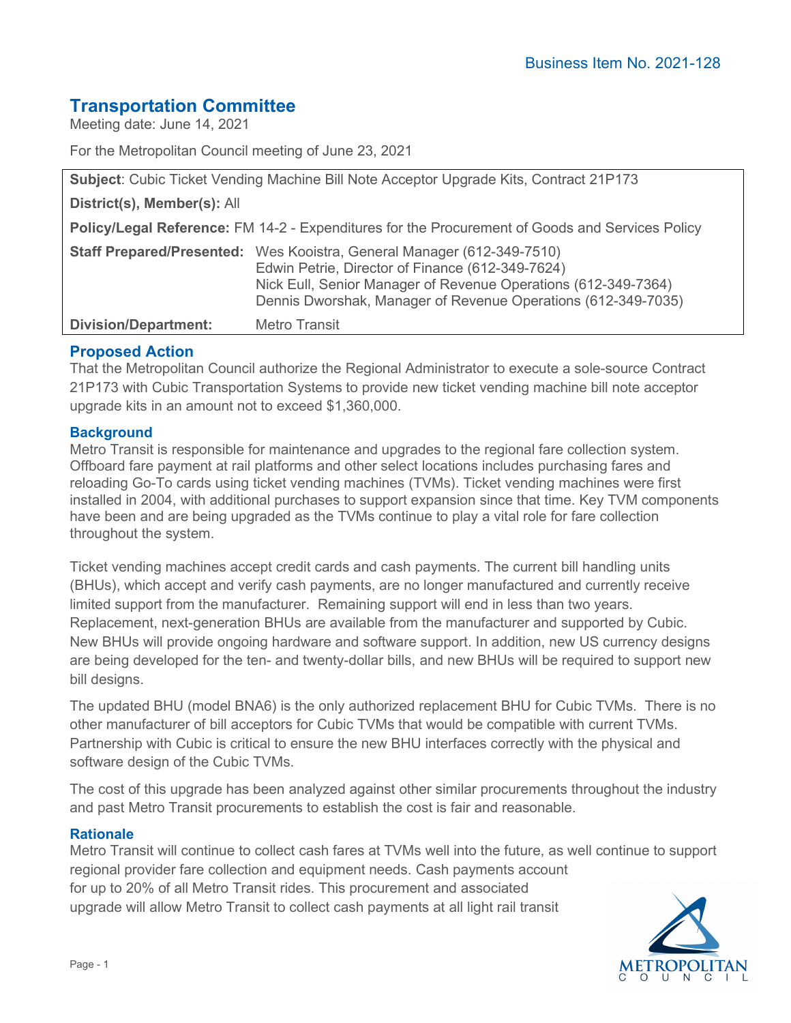# **Transportation Committee**

Meeting date: June 14, 2021

For the Metropolitan Council meeting of June 23, 2021

| <b>Subject:</b> Cubic Ticket Vending Machine Bill Note Acceptor Upgrade Kits, Contract 21P173   |                                                                                                                                                                                                                                                               |
|-------------------------------------------------------------------------------------------------|---------------------------------------------------------------------------------------------------------------------------------------------------------------------------------------------------------------------------------------------------------------|
| District(s), Member(s): All                                                                     |                                                                                                                                                                                                                                                               |
| Policy/Legal Reference: FM 14-2 - Expenditures for the Procurement of Goods and Services Policy |                                                                                                                                                                                                                                                               |
|                                                                                                 | Staff Prepared/Presented: Wes Kooistra, General Manager (612-349-7510)<br>Edwin Petrie, Director of Finance (612-349-7624)<br>Nick Eull, Senior Manager of Revenue Operations (612-349-7364)<br>Dennis Dworshak, Manager of Revenue Operations (612-349-7035) |
| <b>Division/Department:</b>                                                                     | Metro Transit                                                                                                                                                                                                                                                 |

# **Proposed Action**

That the Metropolitan Council authorize the Regional Administrator to execute a sole-source Contract 21P173 with Cubic Transportation Systems to provide new ticket vending machine bill note acceptor upgrade kits in an amount not to exceed \$1,360,000.

## **Background**

Metro Transit is responsible for maintenance and upgrades to the regional fare collection system. Offboard fare payment at rail platforms and other select locations includes purchasing fares and reloading Go-To cards using ticket vending machines (TVMs). Ticket vending machines were first installed in 2004, with additional purchases to support expansion since that time. Key TVM components have been and are being upgraded as the TVMs continue to play a vital role for fare collection throughout the system.

Ticket vending machines accept credit cards and cash payments. The current bill handling units (BHUs), which accept and verify cash payments, are no longer manufactured and currently receive limited support from the manufacturer. Remaining support will end in less than two years. Replacement, next-generation BHUs are available from the manufacturer and supported by Cubic. New BHUs will provide ongoing hardware and software support. In addition, new US currency designs are being developed for the ten- and twenty-dollar bills, and new BHUs will be required to support new bill designs.

The updated BHU (model BNA6) is the only authorized replacement BHU for Cubic TVMs. There is no other manufacturer of bill acceptors for Cubic TVMs that would be compatible with current TVMs. Partnership with Cubic is critical to ensure the new BHU interfaces correctly with the physical and software design of the Cubic TVMs.

The cost of this upgrade has been analyzed against other similar procurements throughout the industry and past Metro Transit procurements to establish the cost is fair and reasonable.

#### **Rationale**

Metro Transit will continue to collect cash fares at TVMs well into the future, as well continue to support regional provider fare collection and equipment needs. Cash payments account for up to 20% of all Metro Transit rides. This procurement and associated upgrade will allow Metro Transit to collect cash payments at all light rail transit